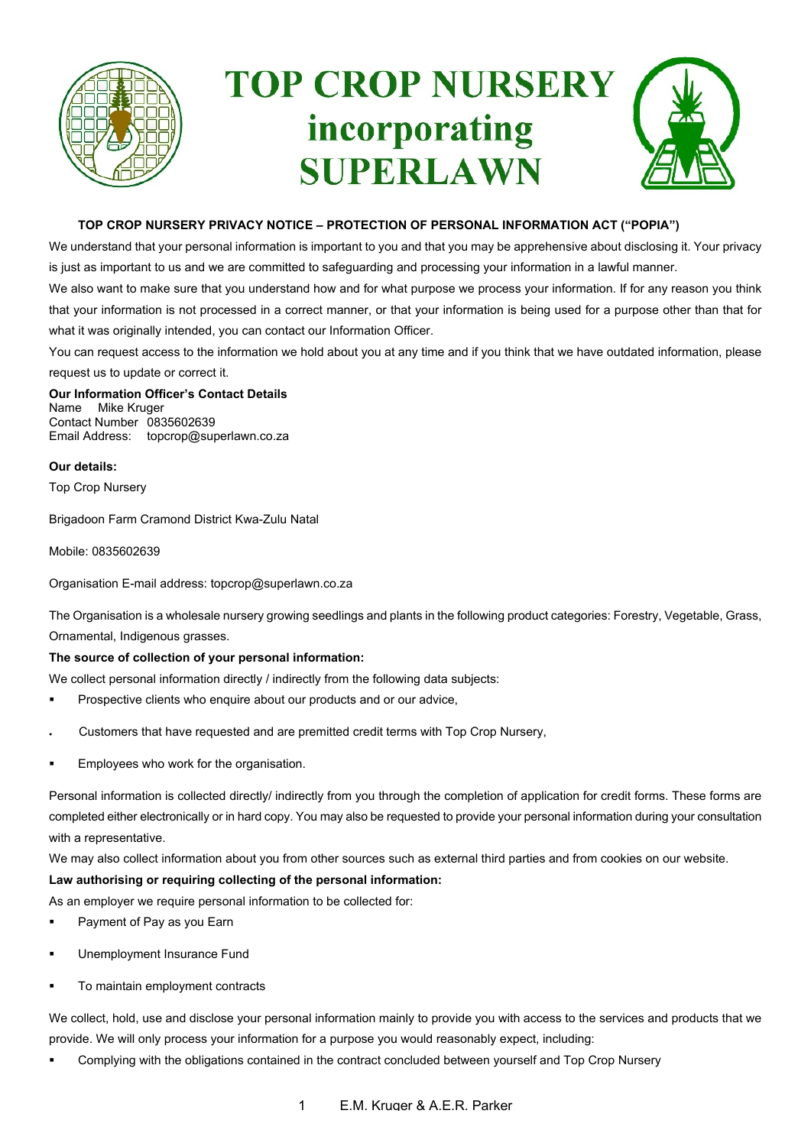

# **TOP CROP NURSERY** incorporating **SUPERLAWN**



# **TOP CROP NURSERY PRIVACY NOTICE – PROTECTION OF PERSONAL INFORMATION ACT ("POPIA")**

We understand that your personal information is important to you and that you may be apprehensive about disclosing it. Your privacy is just as important to us and we are committed to safeguarding and processing your information in a lawful manner.

We also want to make sure that you understand how and for what purpose we process your information. If for any reason you think that your information is not processed in a correct manner, or that your information is being used for a purpose other than that for what it was originally intended, you can contact our Information Officer.

You can request access to the information we hold about you at any time and if you think that we have outdated information, please request us to update or correct it.

**Our Information Officer's Contact Details** Name Mike Kruger Contact Number 0835602639 Email Address: topcrop@superlawn.co.za

**Our details:**

Top Crop Nursery

Brigadoon Farm Cramond District Kwa-Zulu Natal

Mobile: 0835602639

Organisation E-mail address: topcrop@superlawn.co.za

The Organisation is a wholesale nursery growing seedlings and plants in the following product categories: Forestry, Vegetable, Grass, Ornamental, Indigenous grasses.

## **The source of collection of your personal information:**

We collect personal information directly / indirectly from the following data subjects:

- Prospective clients who enquire about our products and or our advice,
- Customers that have requested and are premitted credit terms with Top Crop Nursery,
- Employees who work for the organisation.

Personal information is collected directly/ indirectly from you through the completion of application for credit forms. These forms are completed either electronically or in hard copy. You may also be requested to provide your personal information during your consultation with a representative.

We may also collect information about you from other sources such as external third parties and from cookies on our website.

## **Law authorising or requiring collecting of the personal information:**

As an employer we require personal information to be collected for:

- Payment of Pay as you Earn
- Unemployment Insurance Fund
- �� To maintain employment contracts

We collect, hold, use and disclose your personal information mainly to provide you with access to the services and products that we provide. We will only process your information for a purpose you would reasonably expect, including:

Complying with the obligations contained in the contract concluded between yourself and Top Crop Nursery

1 E.M. Kruger & A.E.R. Parker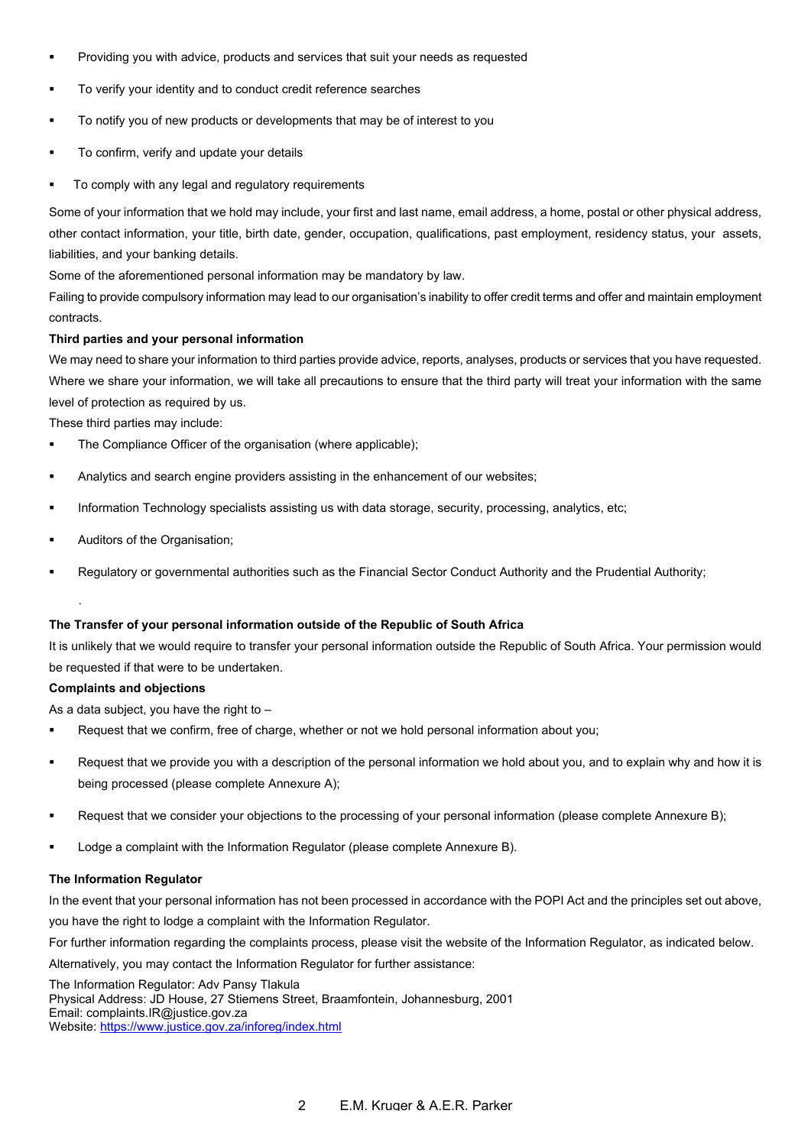- �� Providing you with advice, products and services that suit your needs as requested
- �� To verify your identity and to conduct credit reference searches
- �� To notify you of new products or developments that may be of interest to you
- �� To confirm, verify and update your details
- To comply with any legal and regulatory requirements

Some of your information that we hold may include, your first and last name, email address, a home, postal or other physical address, other contact information, your title, birth date, gender, occupation, qualifications, past employment, residency status, your assets, liabilities, and your banking details.

Some of the aforementioned personal information may be mandatory by law.

Failing to provide compulsory information may lead to our organisation's inability to offer credit terms and offer and maintain employment contracts.

## **Third parties and your personal information**

We may need to share your information to third parties provide advice, reports, analyses, products or services that you have requested. Where we share your information, we will take all precautions to ensure that the third party will treat your information with the same level of protection as required by us.

These third parties may include:

- The Compliance Officer of the organisation (where applicable);
- Analytics and search engine providers assisting in the enhancement of our websites;
- �� Information Technology specialists assisting us with data storage, security, processing, analytics, etc;
- Auditors of the Organisation;
- Regulatory or governmental authorities such as the Financial Sector Conduct Authority and the Prudential Authority;

### **The Transfer of your personal information outside of the Republic of South Africa**

It is unlikely that we would require to transfer your personal information outside the Republic of South Africa. Your permission would be requested if that were to be undertaken.

### **Complaints and objections**

·

As a data subject, you have the right to  $-$ 

- �� Request that we confirm, free of charge, whether or not we hold personal information about you;
- �� Request that we provide you with a description of the personal information we hold about you, and to explain why and how it is being processed (please complete Annexure A);
- Request that we consider your objections to the processing of your personal information (please complete Annexure B);
- �� Lodge a complaint with the Information Regulator (please complete Annexure B).

### **The Information Regulator**

In the event that your personal information has not been processed in accordance with the POPI Act and the principles set out above, you have the right to lodge a complaint with the Information Regulator.

For further information regarding the complaints process, please visit the website of the Information Regulator, as indicated below.

Alternatively, you may contact the Information Regulator for further assistance:

The Information Regulator: Adv Pansy Tlakula Physical Address: JD House, 27 Stiemens Street, Braamfontein, Johannesburg, 2001 Email: complaints.IR@justice.gov.za

Website: https://www.justice.gov.za/inforeg/index.html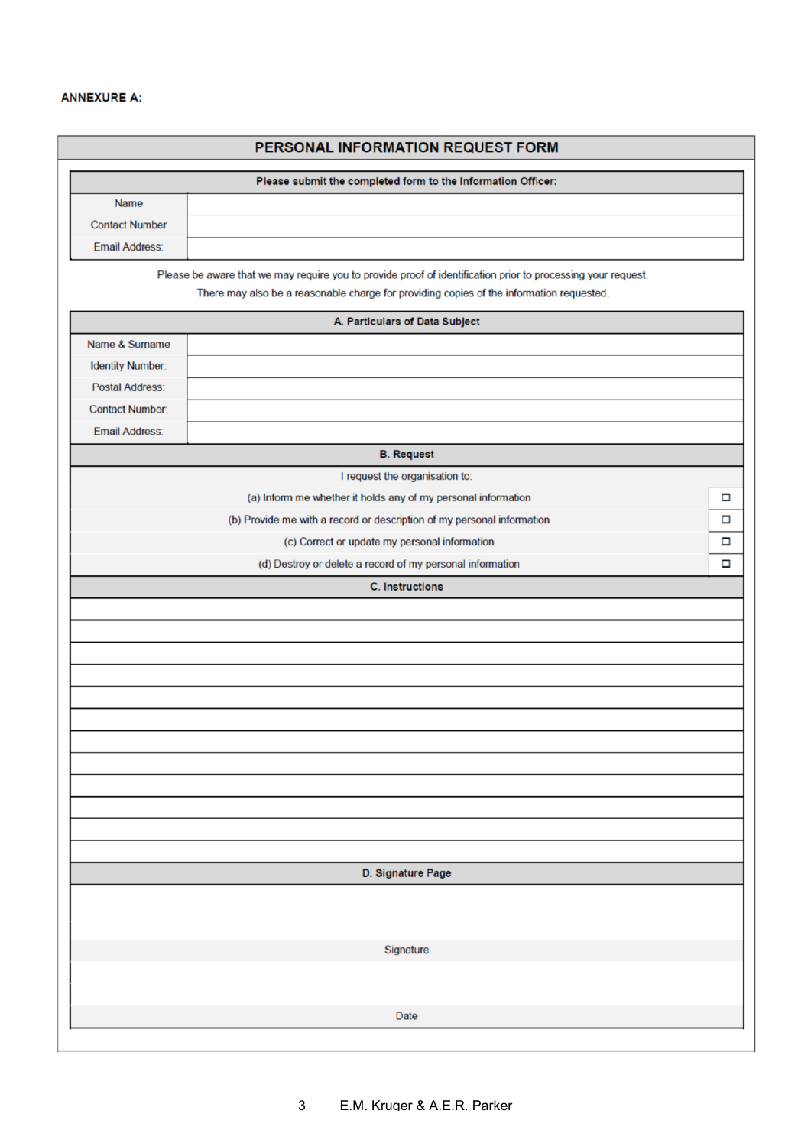| PERSONAL INFORMATION REQUEST FORM<br>Please submit the completed form to the Information Officer: |                                                                                                                                                                                                          |   |
|---------------------------------------------------------------------------------------------------|----------------------------------------------------------------------------------------------------------------------------------------------------------------------------------------------------------|---|
|                                                                                                   |                                                                                                                                                                                                          |   |
| <b>Contact Number</b>                                                                             |                                                                                                                                                                                                          |   |
| <b>Email Address:</b>                                                                             |                                                                                                                                                                                                          |   |
|                                                                                                   |                                                                                                                                                                                                          |   |
|                                                                                                   | Please be aware that we may require you to provide proof of identification prior to processing your request.<br>There may also be a reasonable charge for providing copies of the information requested. |   |
|                                                                                                   |                                                                                                                                                                                                          |   |
|                                                                                                   | A. Particulars of Data Subject                                                                                                                                                                           |   |
| Name & Surname                                                                                    |                                                                                                                                                                                                          |   |
| <b>Identity Number:</b>                                                                           |                                                                                                                                                                                                          |   |
| <b>Postal Address:</b>                                                                            |                                                                                                                                                                                                          |   |
| <b>Contact Number:</b>                                                                            |                                                                                                                                                                                                          |   |
| <b>Email Address:</b>                                                                             |                                                                                                                                                                                                          |   |
|                                                                                                   | <b>B.</b> Request                                                                                                                                                                                        |   |
|                                                                                                   | I request the organisation to:                                                                                                                                                                           |   |
|                                                                                                   | (a) Inform me whether it holds any of my personal information                                                                                                                                            | □ |
|                                                                                                   | (b) Provide me with a record or description of my personal information                                                                                                                                   | □ |
|                                                                                                   | (c) Correct or update my personal information                                                                                                                                                            | □ |
|                                                                                                   | (d) Destroy or delete a record of my personal information                                                                                                                                                | □ |
|                                                                                                   | <b>C.</b> Instructions                                                                                                                                                                                   |   |
|                                                                                                   |                                                                                                                                                                                                          |   |
|                                                                                                   |                                                                                                                                                                                                          |   |
|                                                                                                   |                                                                                                                                                                                                          |   |
|                                                                                                   |                                                                                                                                                                                                          |   |
|                                                                                                   |                                                                                                                                                                                                          |   |
|                                                                                                   |                                                                                                                                                                                                          |   |
|                                                                                                   |                                                                                                                                                                                                          |   |
|                                                                                                   |                                                                                                                                                                                                          |   |
|                                                                                                   |                                                                                                                                                                                                          |   |
|                                                                                                   |                                                                                                                                                                                                          |   |
|                                                                                                   |                                                                                                                                                                                                          |   |
|                                                                                                   |                                                                                                                                                                                                          |   |
|                                                                                                   |                                                                                                                                                                                                          |   |
|                                                                                                   | D. Signature Page                                                                                                                                                                                        |   |
|                                                                                                   |                                                                                                                                                                                                          |   |
|                                                                                                   |                                                                                                                                                                                                          |   |
|                                                                                                   |                                                                                                                                                                                                          |   |
|                                                                                                   | Signature                                                                                                                                                                                                |   |
|                                                                                                   |                                                                                                                                                                                                          |   |
|                                                                                                   |                                                                                                                                                                                                          |   |
|                                                                                                   |                                                                                                                                                                                                          |   |
|                                                                                                   | Date                                                                                                                                                                                                     |   |